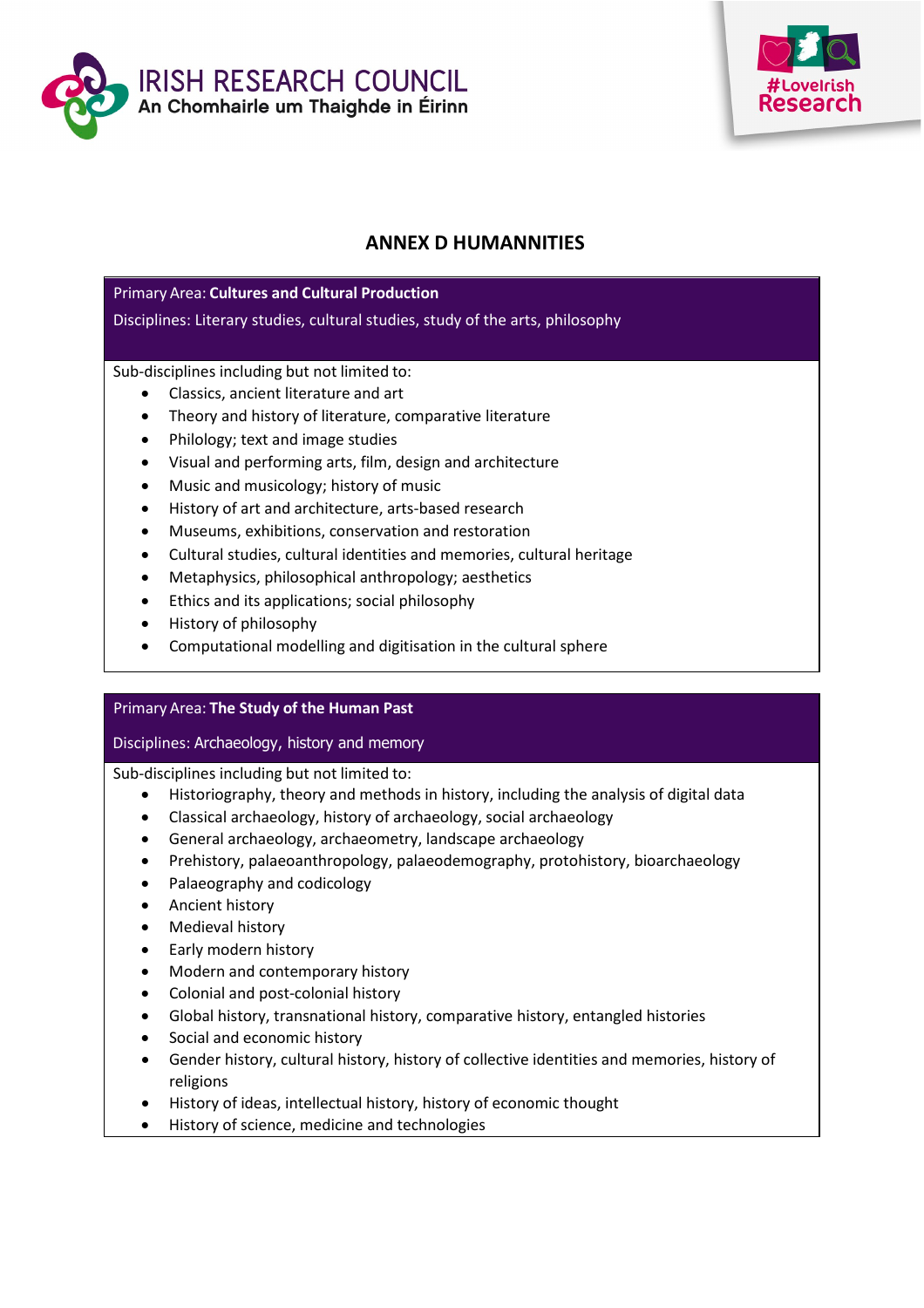



# **ANNEX D HUMANNITIES**

## Primary Area: **Cultures and Cultural Production**

Disciplines: Literary studies, cultural studies, study of the arts, philosophy

## Sub-disciplines including but not limited to:

- Classics, ancient literature and art
- Theory and history of literature, comparative literature
- Philology; text and image studies
- Visual and performing arts, film, design and architecture
- Music and musicology; history of music
- History of art and architecture, arts-based research
- Museums, exhibitions, conservation and restoration
- Cultural studies, cultural identities and memories, cultural heritage
- Metaphysics, philosophical anthropology; aesthetics
- Ethics and its applications; social philosophy
- History of philosophy
- Computational modelling and digitisation in the cultural sphere

### Primary Area: **The Study of the Human Past**

### Disciplines: Archaeology, history and memory

Sub-disciplines including but not limited to:

- Historiography, theory and methods in history, including the analysis of digital data
- Classical archaeology, history of archaeology, social archaeology
- General archaeology, archaeometry, landscape archaeology
- Prehistory, palaeoanthropology, palaeodemography, protohistory, bioarchaeology
- Palaeography and codicology
- Ancient history
- Medieval history
- Early modern history
- Modern and contemporary history
- Colonial and post-colonial history
- Global history, transnational history, comparative history, entangled histories
- Social and economic history
- Gender history, cultural history, history of collective identities and memories, history of religions
- History of ideas, intellectual history, history of economic thought
- History of science, medicine and technologies